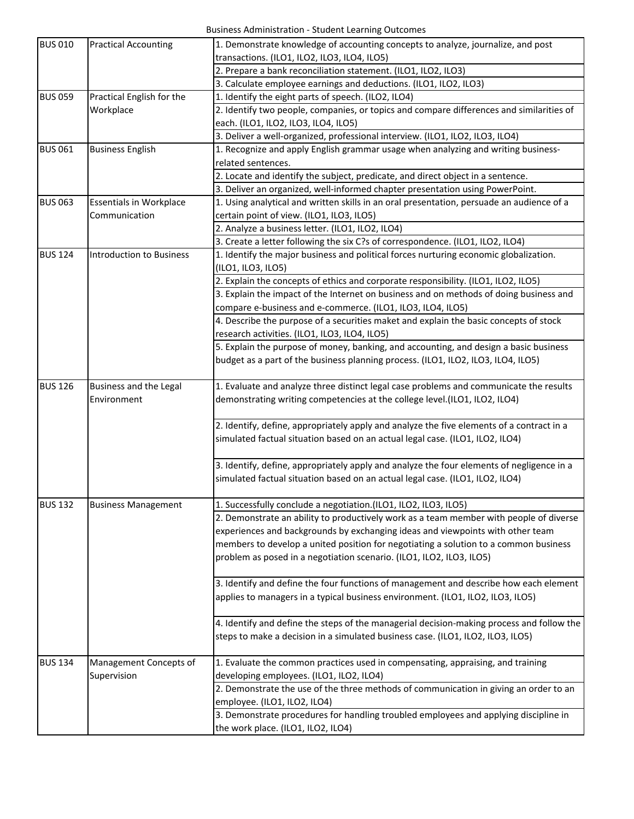| <b>BUS 010</b> | <b>Practical Accounting</b>     | 1. Demonstrate knowledge of accounting concepts to analyze, journalize, and post          |
|----------------|---------------------------------|-------------------------------------------------------------------------------------------|
|                |                                 | transactions. (ILO1, ILO2, ILO3, ILO4, ILO5)                                              |
|                |                                 | 2. Prepare a bank reconciliation statement. (ILO1, ILO2, ILO3)                            |
|                |                                 | 3. Calculate employee earnings and deductions. (ILO1, ILO2, ILO3)                         |
| <b>BUS 059</b> | Practical English for the       | 1. Identify the eight parts of speech. (ILO2, ILO4)                                       |
|                | Workplace                       | 2. Identify two people, companies, or topics and compare differences and similarities of  |
|                |                                 | each. (ILO1, ILO2, ILO3, ILO4, ILO5)                                                      |
|                |                                 | 3. Deliver a well-organized, professional interview. (ILO1, ILO2, ILO3, ILO4)             |
| <b>BUS 061</b> | <b>Business English</b>         | 1. Recognize and apply English grammar usage when analyzing and writing business-         |
|                |                                 | related sentences.                                                                        |
|                |                                 | 2. Locate and identify the subject, predicate, and direct object in a sentence.           |
|                |                                 | 3. Deliver an organized, well-informed chapter presentation using PowerPoint.             |
| <b>BUS 063</b> | <b>Essentials in Workplace</b>  | 1. Using analytical and written skills in an oral presentation, persuade an audience of a |
|                | Communication                   | certain point of view. (ILO1, ILO3, ILO5)                                                 |
|                |                                 | 2. Analyze a business letter. (ILO1, ILO2, ILO4)                                          |
|                |                                 | 3. Create a letter following the six C?s of correspondence. (ILO1, ILO2, ILO4)            |
| <b>BUS 124</b> | <b>Introduction to Business</b> | 1. Identify the major business and political forces nurturing economic globalization.     |
|                |                                 | (ILO1, ILO3, ILO5)                                                                        |
|                |                                 | 2. Explain the concepts of ethics and corporate responsibility. (ILO1, ILO2, ILO5)        |
|                |                                 | 3. Explain the impact of the Internet on business and on methods of doing business and    |
|                |                                 | compare e-business and e-commerce. (ILO1, ILO3, ILO4, ILO5)                               |
|                |                                 | 4. Describe the purpose of a securities maket and explain the basic concepts of stock     |
|                |                                 | research activities. (ILO1, ILO3, ILO4, ILO5)                                             |
|                |                                 | 5. Explain the purpose of money, banking, and accounting, and design a basic business     |
|                |                                 | budget as a part of the business planning process. (ILO1, ILO2, ILO3, ILO4, ILO5)         |
|                |                                 |                                                                                           |
| <b>BUS 126</b> | Business and the Legal          | 1. Evaluate and analyze three distinct legal case problems and communicate the results    |
|                | Environment                     | demonstrating writing competencies at the college level.(ILO1, ILO2, ILO4)                |
|                |                                 |                                                                                           |
|                |                                 | 2. Identify, define, appropriately apply and analyze the five elements of a contract in a |
|                |                                 | simulated factual situation based on an actual legal case. (ILO1, ILO2, ILO4)             |
|                |                                 |                                                                                           |
|                |                                 | 3. Identify, define, appropriately apply and analyze the four elements of negligence in a |
|                |                                 | simulated factual situation based on an actual legal case. (ILO1, ILO2, ILO4)             |
|                |                                 |                                                                                           |
| <b>BUS 132</b> | <b>Business Management</b>      | 1. Successfully conclude a negotiation. (ILO1, ILO2, ILO3, ILO5)                          |
|                |                                 | 2. Demonstrate an ability to productively work as a team member with people of diverse    |
|                |                                 | experiences and backgrounds by exchanging ideas and viewpoints with other team            |
|                |                                 | members to develop a united position for negotiating a solution to a common business      |
|                |                                 | problem as posed in a negotiation scenario. (ILO1, ILO2, ILO3, ILO5)                      |
|                |                                 |                                                                                           |
|                |                                 | 3. Identify and define the four functions of management and describe how each element     |
|                |                                 | applies to managers in a typical business environment. (ILO1, ILO2, ILO3, ILO5)           |
|                |                                 |                                                                                           |
|                |                                 | 4. Identify and define the steps of the managerial decision-making process and follow the |
|                |                                 | steps to make a decision in a simulated business case. (ILO1, ILO2, ILO3, ILO5)           |
|                |                                 |                                                                                           |
| <b>BUS 134</b> | Management Concepts of          | 1. Evaluate the common practices used in compensating, appraising, and training           |
|                | Supervision                     | developing employees. (ILO1, ILO2, ILO4)                                                  |
|                |                                 | 2. Demonstrate the use of the three methods of communication in giving an order to an     |
|                |                                 | employee. (ILO1, ILO2, ILO4)                                                              |
|                |                                 | 3. Demonstrate procedures for handling troubled employees and applying discipline in      |
|                |                                 | the work place. (ILO1, ILO2, ILO4)                                                        |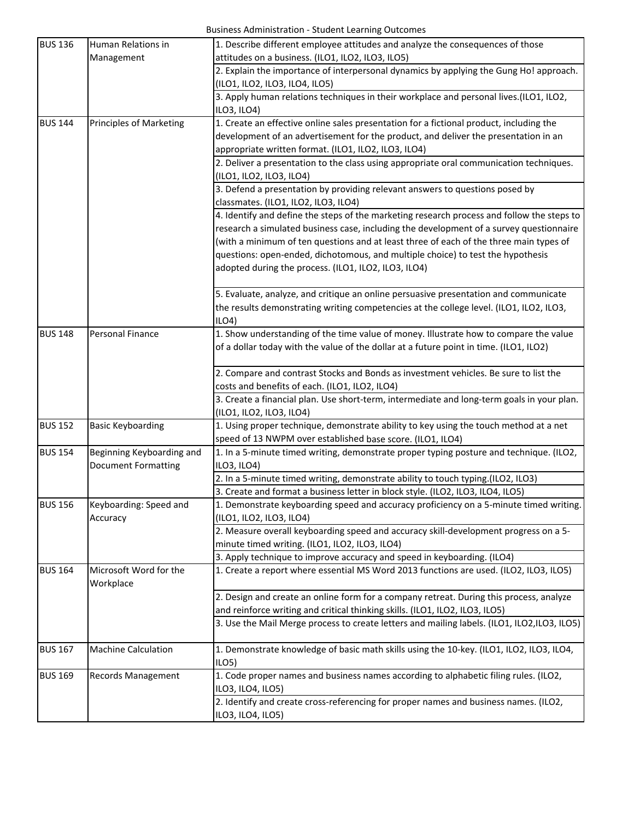| <b>BUS 136</b> | Human Relations in             | 1. Describe different employee attitudes and analyze the consequences of those                                            |
|----------------|--------------------------------|---------------------------------------------------------------------------------------------------------------------------|
|                | Management                     | attitudes on a business. (ILO1, ILO2, ILO3, ILO5)                                                                         |
|                |                                | 2. Explain the importance of interpersonal dynamics by applying the Gung Ho! approach.                                    |
|                |                                | (ILO1, ILO2, ILO3, ILO4, ILO5)<br>3. Apply human relations techniques in their workplace and personal lives.(ILO1, ILO2,  |
|                |                                | ILO3, ILO4)                                                                                                               |
| <b>BUS 144</b> | <b>Principles of Marketing</b> | 1. Create an effective online sales presentation for a fictional product, including the                                   |
|                |                                | development of an advertisement for the product, and deliver the presentation in an                                       |
|                |                                | appropriate written format. (ILO1, ILO2, ILO3, ILO4)                                                                      |
|                |                                | 2. Deliver a presentation to the class using appropriate oral communication techniques.                                   |
|                |                                | (ILO1, ILO2, ILO3, ILO4)                                                                                                  |
|                |                                | 3. Defend a presentation by providing relevant answers to questions posed by                                              |
|                |                                | classmates. (ILO1, ILO2, ILO3, ILO4)                                                                                      |
|                |                                | 4. Identify and define the steps of the marketing research process and follow the steps to                                |
|                |                                | research a simulated business case, including the development of a survey questionnaire                                   |
|                |                                | (with a minimum of ten questions and at least three of each of the three main types of                                    |
|                |                                | questions: open-ended, dichotomous, and multiple choice) to test the hypothesis                                           |
|                |                                | adopted during the process. (ILO1, ILO2, ILO3, ILO4)                                                                      |
|                |                                | 5. Evaluate, analyze, and critique an online persuasive presentation and communicate                                      |
|                |                                | the results demonstrating writing competencies at the college level. (ILO1, ILO2, ILO3,                                   |
|                |                                | ILO4                                                                                                                      |
| <b>BUS 148</b> | Personal Finance               | 1. Show understanding of the time value of money. Illustrate how to compare the value                                     |
|                |                                | of a dollar today with the value of the dollar at a future point in time. (ILO1, ILO2)                                    |
|                |                                | 2. Compare and contrast Stocks and Bonds as investment vehicles. Be sure to list the                                      |
|                |                                | costs and benefits of each. (ILO1, ILO2, ILO4)                                                                            |
|                |                                | 3. Create a financial plan. Use short-term, intermediate and long-term goals in your plan.                                |
|                |                                | (ILO1, ILO2, ILO3, ILO4)                                                                                                  |
| <b>BUS 152</b> | <b>Basic Keyboarding</b>       | 1. Using proper technique, demonstrate ability to key using the touch method at a net                                     |
|                |                                | speed of 13 NWPM over established base score. (ILO1, ILO4)                                                                |
| <b>BUS 154</b> | Beginning Keyboarding and      | 1. In a 5-minute timed writing, demonstrate proper typing posture and technique. (ILO2,                                   |
|                | <b>Document Formatting</b>     | ILO3, ILO4)                                                                                                               |
|                |                                | 2. In a 5-minute timed writing, demonstrate ability to touch typing.(ILO2, ILO3)                                          |
|                |                                | 3. Create and format a business letter in block style. (ILO2, ILO3, ILO4, ILO5)                                           |
| <b>BUS 156</b> | Keyboarding: Speed and         | 1. Demonstrate keyboarding speed and accuracy proficiency on a 5-minute timed writing.                                    |
|                | Accuracy                       | (ILO1, ILO2, ILO3, ILO4)                                                                                                  |
|                |                                | 2. Measure overall keyboarding speed and accuracy skill-development progress on a 5-                                      |
|                |                                | minute timed writing. (ILO1, ILO2, ILO3, ILO4)<br>3. Apply technique to improve accuracy and speed in keyboarding. (ILO4) |
| <b>BUS 164</b> | Microsoft Word for the         | 1. Create a report where essential MS Word 2013 functions are used. (ILO2, ILO3, ILO5)                                    |
|                | Workplace                      |                                                                                                                           |
|                |                                | 2. Design and create an online form for a company retreat. During this process, analyze                                   |
|                |                                | and reinforce writing and critical thinking skills. (ILO1, ILO2, ILO3, ILO5)                                              |
|                |                                | 3. Use the Mail Merge process to create letters and mailing labels. (ILO1, ILO2, ILO3, ILO5)                              |
| <b>BUS 167</b> | <b>Machine Calculation</b>     | 1. Demonstrate knowledge of basic math skills using the 10-key. (ILO1, ILO2, ILO3, ILO4,                                  |
|                |                                | ILO <sub>5</sub>                                                                                                          |
| <b>BUS 169</b> | Records Management             | 1. Code proper names and business names according to alphabetic filing rules. (ILO2,                                      |
|                |                                | ILO3, ILO4, ILO5)                                                                                                         |
|                |                                | 2. Identify and create cross-referencing for proper names and business names. (ILO2,                                      |
|                |                                | ILO3, ILO4, ILO5)                                                                                                         |